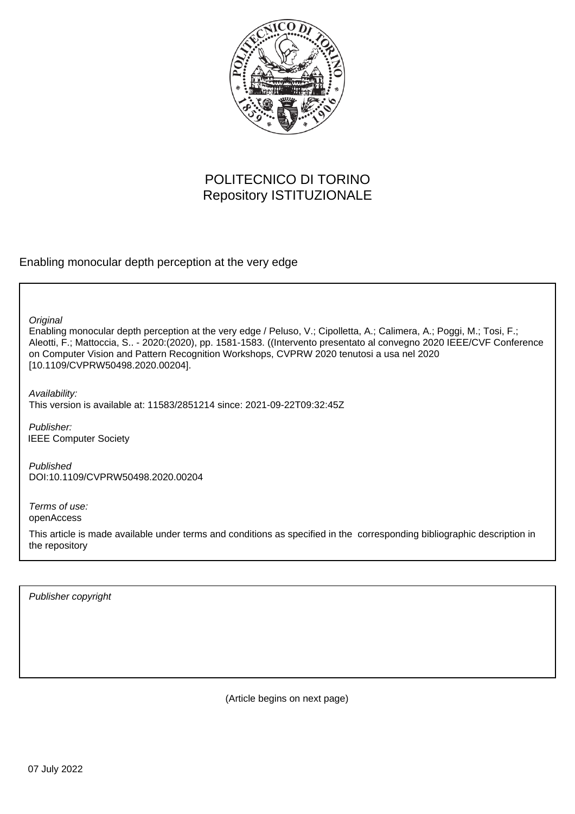

# POLITECNICO DI TORINO Repository ISTITUZIONALE

Enabling monocular depth perception at the very edge

**Original** 

Enabling monocular depth perception at the very edge / Peluso, V.; Cipolletta, A.; Calimera, A.; Poggi, M.; Tosi, F.; Aleotti, F.; Mattoccia, S.. - 2020:(2020), pp. 1581-1583. ((Intervento presentato al convegno 2020 IEEE/CVF Conference on Computer Vision and Pattern Recognition Workshops, CVPRW 2020 tenutosi a usa nel 2020 [10.1109/CVPRW50498.2020.00204].

Availability: This version is available at: 11583/2851214 since: 2021-09-22T09:32:45Z

Publisher: IEEE Computer Society

Published DOI:10.1109/CVPRW50498.2020.00204

Terms of use: openAccess

This article is made available under terms and conditions as specified in the corresponding bibliographic description in the repository

Publisher copyright

(Article begins on next page)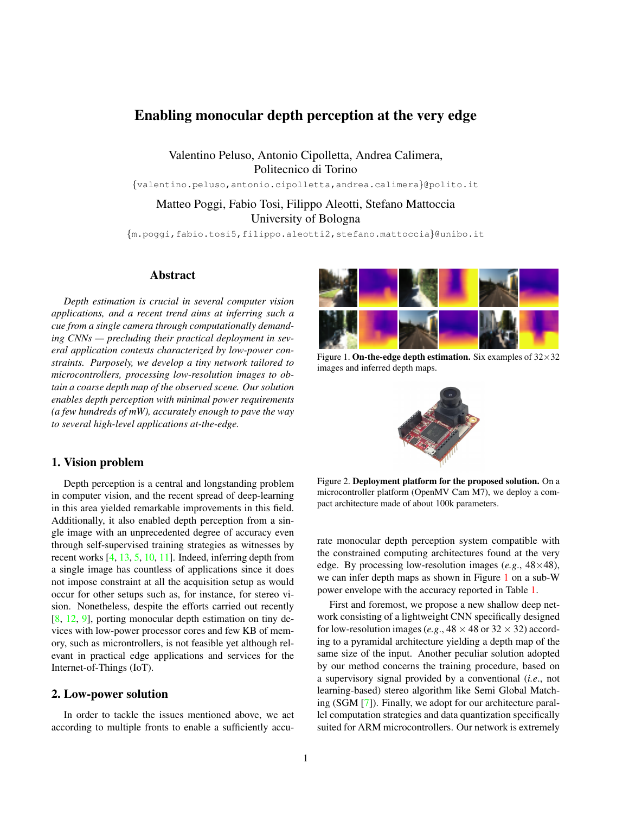# Enabling monocular depth perception at the very edge

Valentino Peluso, Antonio Cipolletta, Andrea Calimera, Politecnico di Torino

{valentino.peluso,antonio.cipolletta,andrea.calimera}@polito.it

## Matteo Poggi, Fabio Tosi, Filippo Aleotti, Stefano Mattoccia University of Bologna

{m.poggi,fabio.tosi5,filippo.aleotti2,stefano.mattoccia}@unibo.it

### Abstract

*Depth estimation is crucial in several computer vision applications, and a recent trend aims at inferring such a cue from a single camera through computationally demanding CNNs — precluding their practical deployment in several application contexts characterized by low-power constraints. Purposely, we develop a tiny network tailored to microcontrollers, processing low-resolution images to obtain a coarse depth map of the observed scene. Our solution enables depth perception with minimal power requirements (a few hundreds of mW), accurately enough to pave the way to several high-level applications at-the-edge.*

Figure 1. On-the-edge depth estimation. Six examples of  $32 \times 32$ images and inferred depth maps.



### 1. Vision problem

Depth perception is a central and longstanding problem in computer vision, and the recent spread of deep-learning in this area yielded remarkable improvements in this field. Additionally, it also enabled depth perception from a single image with an unprecedented degree of accuracy even through self-supervised training strategies as witnesses by recent works [4, 13, 5, 10, 11]. Indeed, inferring depth from a single image has countless of applications since it does not impose constraint at all the acquisition setup as would occur for other setups such as, for instance, for stereo vision. Nonetheless, despite the efforts carried out recently [8, 12, 9], porting monocular depth estimation on tiny devices with low-power processor cores and few KB of memory, such as microntrollers, is not feasible yet although relevant in practical edge applications and services for the Internet-of-Things (IoT).

### 2. Low-power solution

In order to tackle the issues mentioned above, we act according to multiple fronts to enable a sufficiently accu-

Figure 2. Deployment platform for the proposed solution. On a microcontroller platform (OpenMV Cam M7), we deploy a compact architecture made of about 100k parameters.

rate monocular depth perception system compatible with the constrained computing architectures found at the very edge. By processing low-resolution images (*e.g*., 48×48), we can infer depth maps as shown in Figure 1 on a sub-W power envelope with the accuracy reported in Table 1.

First and foremost, we propose a new shallow deep network consisting of a lightweight CNN specifically designed for low-resolution images (*e.g.*,  $48 \times 48$  or  $32 \times 32$ ) according to a pyramidal architecture yielding a depth map of the same size of the input. Another peculiar solution adopted by our method concerns the training procedure, based on a supervisory signal provided by a conventional (*i.e*., not learning-based) stereo algorithm like Semi Global Matching (SGM [7]). Finally, we adopt for our architecture parallel computation strategies and data quantization specifically suited for ARM microcontrollers. Our network is extremely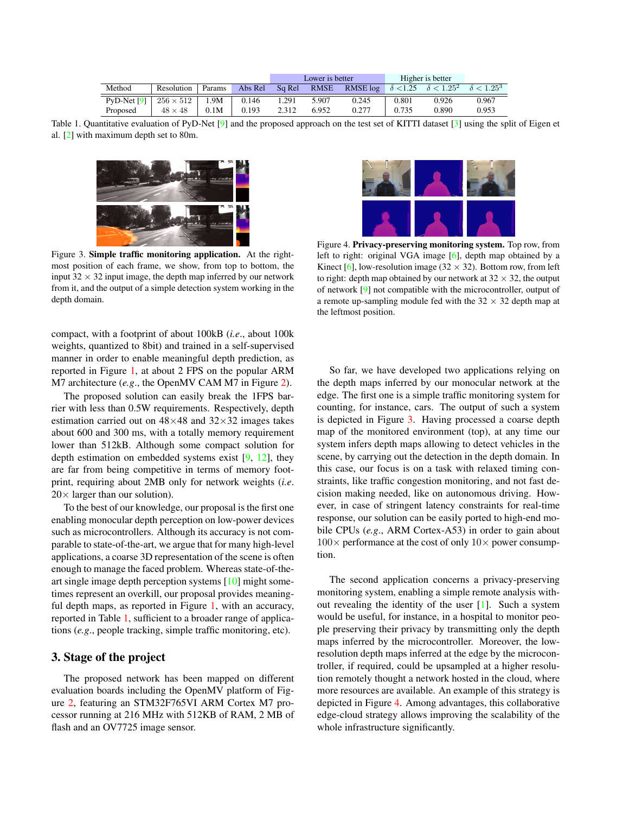|               |                  |        |         | Lower is better |             |          | Higher is better |                   |                   |
|---------------|------------------|--------|---------|-----------------|-------------|----------|------------------|-------------------|-------------------|
| Method        | Resolution       | Params | Abs Rel | Sa Rel          | <b>RMSE</b> | RMSE log | $\delta$ < 1.25  | $\delta < 1.25^2$ | $\delta < 1.25^3$ |
| $PvD-Net$ [9] | $256 \times 512$ | .9M    | 0.146   | .291            | 5.907       | 0.245    | 0.801            | 0.926             | 0.967             |
| Proposed      | $48 \times 48$   | 0.1M   | 0.193   | 2.312           | 6.952       | 0.277    | 0.735            | 0.890             | 0.953             |

Table 1. Quantitative evaluation of PyD-Net [9] and the proposed approach on the test set of KITTI dataset [3] using the split of Eigen et al. [2] with maximum depth set to 80m.



Figure 3. Simple traffic monitoring application. At the rightmost position of each frame, we show, from top to bottom, the input  $32 \times 32$  input image, the depth map inferred by our network from it, and the output of a simple detection system working in the depth domain.

compact, with a footprint of about 100kB (*i.e*., about 100k weights, quantized to 8bit) and trained in a self-supervised manner in order to enable meaningful depth prediction, as reported in Figure 1, at about 2 FPS on the popular ARM M7 architecture (*e.g*., the OpenMV CAM M7 in Figure 2).

The proposed solution can easily break the 1FPS barrier with less than 0.5W requirements. Respectively, depth estimation carried out on  $48\times48$  and  $32\times32$  images takes about 600 and 300 ms, with a totally memory requirement lower than 512kB. Although some compact solution for depth estimation on embedded systems exist [9, 12], they are far from being competitive in terms of memory footprint, requiring about 2MB only for network weights (*i.e*.  $20 \times$  larger than our solution).

To the best of our knowledge, our proposal is the first one enabling monocular depth perception on low-power devices such as microcontrollers. Although its accuracy is not comparable to state-of-the-art, we argue that for many high-level applications, a coarse 3D representation of the scene is often enough to manage the faced problem. Whereas state-of-theart single image depth perception systems [10] might sometimes represent an overkill, our proposal provides meaningful depth maps, as reported in Figure 1, with an accuracy, reported in Table 1, sufficient to a broader range of applications (*e.g*., people tracking, simple traffic monitoring, etc).

### 3. Stage of the project

The proposed network has been mapped on different evaluation boards including the OpenMV platform of Figure 2, featuring an STM32F765VI ARM Cortex M7 processor running at 216 MHz with 512KB of RAM, 2 MB of flash and an OV7725 image sensor.



Figure 4. Privacy-preserving monitoring system. Top row, from left to right: original VGA image [6], depth map obtained by a Kinect [6], low-resolution image (32  $\times$  32). Bottom row, from left to right: depth map obtained by our network at  $32 \times 32$ , the output of network [9] not compatible with the microcontroller, output of a remote up-sampling module fed with the  $32 \times 32$  depth map at the leftmost position.

So far, we have developed two applications relying on the depth maps inferred by our monocular network at the edge. The first one is a simple traffic monitoring system for counting, for instance, cars. The output of such a system is depicted in Figure 3. Having processed a coarse depth map of the monitored environment (top), at any time our system infers depth maps allowing to detect vehicles in the scene, by carrying out the detection in the depth domain. In this case, our focus is on a task with relaxed timing constraints, like traffic congestion monitoring, and not fast decision making needed, like on autonomous driving. However, in case of stringent latency constraints for real-time response, our solution can be easily ported to high-end mobile CPUs (*e.g*., ARM Cortex-A53) in order to gain about  $100\times$  performance at the cost of only  $10\times$  power consumption.

The second application concerns a privacy-preserving monitoring system, enabling a simple remote analysis without revealing the identity of the user [1]. Such a system would be useful, for instance, in a hospital to monitor people preserving their privacy by transmitting only the depth maps inferred by the microcontroller. Moreover, the lowresolution depth maps inferred at the edge by the microcontroller, if required, could be upsampled at a higher resolution remotely thought a network hosted in the cloud, where more resources are available. An example of this strategy is depicted in Figure 4. Among advantages, this collaborative edge-cloud strategy allows improving the scalability of the whole infrastructure significantly.